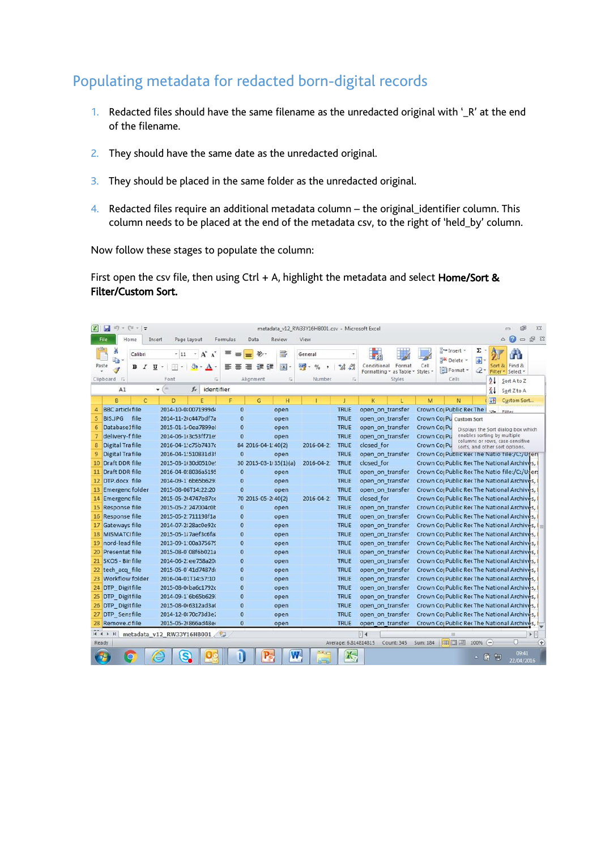## Populating metadata for redacted born-digital records

- 1. Redacted files should have the same filename as the unredacted original with '\_R' at the end of the filename.
- 2. They should have the same date as the unredacted original.
- 3. They should be placed in the same folder as the unredacted original.
- 4. Redacted files require an additional metadata column the original\_identifier column. This column needs to be placed at the end of the metadata csv, to the right of 'held\_by' column.

Now follow these stages to populate the column:

First open the csv file, then using Ctrl + A, highlight the metadata and select Home/Sort & Filter/Custom Sort.

|        | ы<br>$=$ $[$ $\frac{1}{2}$ $ \frac{1}{2}$<br>15      |                                                            |                                |                             |           | metadata_v12_RW33Y16HB001.csv - Microsoft Excel |                                    |                                                 |        |                                                      |                                                         |                          |                                    |                                    | $\Sigma$ |
|--------|------------------------------------------------------|------------------------------------------------------------|--------------------------------|-----------------------------|-----------|-------------------------------------------------|------------------------------------|-------------------------------------------------|--------|------------------------------------------------------|---------------------------------------------------------|--------------------------|------------------------------------|------------------------------------|----------|
|        | Home<br>File                                         | Page Layout<br>Insert                                      | Formulas                       | Data                        | Review    | View                                            |                                    |                                                 |        |                                                      |                                                         |                          | $\infty$                           | 3<br>$\Box$                        | 6 23     |
|        | ð.<br>Calibri<br>la.<br>Paste<br>в<br>$\overline{I}$ | $-11$<br>٠<br>U<br>m<br>ு<br>$\overline{\phantom{a}}$<br>٠ | A<br>$\Lambda$<br>$\mathbf{A}$ | $\mathcal{D}_{\mathcal{F}}$ | S.<br>-14 | General<br>ማ<br>$\frac{Q}{2}$                   | $^{0.00}_{0.4}$<br>$^{+.0}_{-0.0}$ | Conditional<br>Formatting v as Table v Styles v | Format | Cell                                                 | ansert +<br>Delete *<br>Format -                        | Σ<br>$\overline{a}$<br>Q | Sort & Find &<br>Filter * Select * |                                    |          |
|        | Clipboard G                                          | Font                                                       | Γý.                            | Alignment                   | Eu        | Number                                          | Tu-                                |                                                 | Styles |                                                      | Cells                                                   |                          | $^{41}$                            | Sort A to Z                        |          |
|        | A1                                                   | Cm.<br>÷<br>$f_x$                                          | identifier                     |                             |           |                                                 |                                    |                                                 |        |                                                      |                                                         |                          | $\frac{Z}{A}$                      | Sort Z to A                        |          |
|        | B<br>$\mathsf{C}$                                    | D<br>F                                                     | F                              | G                           | H         |                                                 |                                    | K                                               |        | M                                                    | N                                                       |                          | <b>IVR</b>                         | Custom Sort                        |          |
| 4      | <b>BBC</b> articlefile                               | 2014-10-0:0071999d4                                        | $\mathbf{0}$                   |                             | open      |                                                 | <b>TRUE</b>                        | open on transfer                                |        |                                                      | Crown Co Public Rec The                                 |                          | Filter                             |                                    |          |
| 5      | file<br><b>BIS.JPG</b>                               | 2014-11-2 c447bdf7a                                        | $\mathbf 0$                    |                             | open      |                                                 | <b>TRUE</b>                        | open on transfer                                |        |                                                      | Crown Co <sub>l</sub> Pu Custom Sort                    |                          |                                    |                                    |          |
| 6<br>7 | Database1file                                        | 2015-01-1-0ea7899e<br>2014-06-1(3c53ff71e)                 | $\bf{0}$<br>$\mathbf{0}$       |                             | open      |                                                 | <b>TRUE</b><br><b>TRUE</b>         | open on transfer                                |        | Crown Co <sub>l</sub> Pu                             |                                                         |                          | enables sorting by multiple        | Displays the Sort dialog box which |          |
| 8      | delivery-f file<br>Digital Trafile                   | 2016-04-1'c75b7437c                                        |                                | 84 2016-04-1:40(2)          | open      | 2016-04-2                                       | <b>TRUE</b>                        | open on transfer<br>closed for                  |        | Crown Co <sub>l</sub> Pu<br>Crown Co <sub>l</sub> Pu |                                                         |                          |                                    | columns or rows, case-sensitive    |          |
| 9      | <b>Digital Trafile</b>                               | 2016-04-1'510831d3f                                        | $\mathbf{0}$                   |                             | open      |                                                 | <b>TRUE</b>                        | open on transfer                                |        |                                                      | Crown Coj Public Rec The Natio Tile:/C:/Ufers           |                          | sorts, and other sort options.     |                                    |          |
| 10     | Draft DDR file                                       | 2015-03-1 30d0510es                                        |                                | 30 2015-03-1/35(1)(a)       |           | 2016-04-2                                       | <b>TRUE</b>                        | closed for                                      |        |                                                      | Crown Co Public Rec The National Archives,              |                          |                                    |                                    |          |
| 11     | Draft DDR file                                       | 2016-04-0, 8036a5195                                       | $\bf{0}$                       |                             | open      |                                                 | <b>TRUE</b>                        | open on transfer                                |        |                                                      | Crown Co Public Rec The Natio file:/C:/Users            |                          |                                    |                                    |          |
| 12     | DTP.docx file                                        | 2014-09-1 6b65b629:                                        | $\bf{0}$                       |                             | open      |                                                 | <b>TRUE</b>                        | open on transfer                                |        |                                                      | Crown Cor Public Rec The National Archives,             |                          |                                    |                                    |          |
| 13     | <b>Emergenc folder</b>                               | 2015-08-06T14:22:20                                        | $\Omega$                       |                             | open      |                                                 | <b>TRUE</b>                        | open on transfer                                |        |                                                      | Crown Co Public Rec The National Archives,              |                          |                                    |                                    |          |
| 14     | <b>Emergenc file</b>                                 | 2015-05-214747e87ce                                        |                                | 70 2015-05-2 40(2)          |           | 2016-04-2:                                      | <b>TRUE</b>                        | closed for                                      |        |                                                      | Crown Co  Public Rec The National Archives,             |                          |                                    |                                    |          |
| 15     | <b>Response file</b>                                 | 2015-05-2:247004c0b                                        | $\overline{0}$                 |                             | open      |                                                 | <b>TRUE</b>                        | open on transfer                                |        |                                                      | Crown Cor Public Rec The National Archives,             |                          |                                    |                                    |          |
| 16     | <b>Response file</b>                                 | 2015-05-2 711198f1a                                        | $\bf{0}$                       |                             | open      |                                                 | <b>TRUE</b>                        | open on transfer                                |        |                                                      | Crown Co Public Rec The National Archives,              |                          |                                    |                                    |          |
| 17     | Gateways file                                        | 2014-07-2:28ac0e92c                                        | $\overline{0}$                 |                             | open      |                                                 | <b>TRUE</b>                        | open on transfer                                |        |                                                      | Crown Co Public Rec The National Archives, I            |                          |                                    |                                    |          |
| 18     | <b>MISMATCI file</b>                                 | 2015-05-1: 7aef3c6fal                                      | $\bf{0}$                       |                             | open      |                                                 | <b>TRUE</b>                        | open on transfer                                |        |                                                      | Crown Co <sub>l</sub> Public Rec The National Archives, |                          |                                    |                                    |          |
| 19     | nord-lead file                                       | 2013-09-1:00a375679                                        | $\bf{0}$                       |                             | open      |                                                 | <b>TRUE</b>                        | open on transfer                                |        |                                                      | Crown Co Public Rec The National Archives,              |                          |                                    |                                    |          |
| 20     | <b>Presentat file</b>                                | 2015-08-0'08f6b021a                                        | $\mathbf 0$                    |                             | open      |                                                 | <b>TRUE</b>                        | open on transfer                                |        |                                                      | Crown Co Public Rec The National Archives,              |                          |                                    |                                    |          |
|        | 21 SKOS - Bir file                                   | 2014-06-2 ee758a20                                         | $\mathbf{0}$                   |                             | open      |                                                 | <b>TRUE</b>                        | open on transfer                                |        |                                                      | Crown Co: Public Rec The National Archives,             |                          |                                    |                                    |          |
| 22     | tech acq file                                        | 2015-05-0 41d7487do                                        | 0                              |                             | open      |                                                 | <b>TRUE</b>                        | open on transfer                                |        |                                                      | Crown Co Public Rec The National Archives,              |                          |                                    |                                    |          |
| 23     | <b>Workflow folder</b>                               | 2016-04-01T14:57:10                                        | $\bf{0}$                       |                             | open      |                                                 | <b>TRUE</b>                        | open on transfer                                |        |                                                      | Crown Co Public Rec The National Archives,              |                          |                                    |                                    |          |
| 24     | DTP_Digit file                                       | 2015-08-0 ba6c1792c                                        | $\bf{0}$                       |                             | open      |                                                 | <b>TRUE</b>                        | open on transfer                                |        |                                                      | Crown Co Public Rec The National Archives,              |                          |                                    |                                    |          |
| 25     | DTP Digit file                                       | 2014-09-1 6b65b629:                                        | $\overline{0}$                 |                             | open      |                                                 | <b>TRUE</b>                        | open on transfer                                |        |                                                      | Crown Co Public Rec The National Archives,              |                          |                                    |                                    |          |
| 26     | <b>DTP</b> Digit file                                | 2015-08-0(6312ad3a)                                        | $\overline{0}$                 |                             | open      |                                                 | <b>TRUE</b>                        | open on transfer                                |        |                                                      | Crown Co Public Rec The National Archives,              |                          |                                    |                                    |          |
| 27     | DTP Sensfile                                         | 2014-12-0 70c73d3e2                                        | $\bf{0}$                       |                             | open      |                                                 | <b>TRUE</b>                        | open on transfer                                |        |                                                      | Crown Co Public Rec The National Archives,              |                          |                                    |                                    |          |
| 28     | Remove.c file                                        | 2015-05-21866ad48e4                                        | $\bf{0}$                       |                             | open      |                                                 | <b>TRUE</b>                        | open on transfer                                |        |                                                      | Crown Co <sub>l</sub> Public Rec The National Archives, |                          |                                    |                                    |          |
|        | $H$ $H$ $H$ $H$                                      | metadata v12 RW33Y16HB001                                  | 83                             |                             |           |                                                 |                                    | $\mathbb{R}$ 4                                  |        |                                                      | ill.                                                    |                          |                                    | $\blacktriangleright$<br>n.        | Œ        |
|        | Ready                                                |                                                            |                                |                             |           |                                                 | Average: 6.814814815               | Count: 345                                      |        | Sum: 184                                             | <b>HOLL</b>                                             | 100%<br>$(-)$            |                                    |                                    |          |
|        |                                                      |                                                            |                                |                             |           |                                                 |                                    |                                                 |        |                                                      |                                                         | $\mathbb{C}$             | 嗣                                  | 09:41<br>22/04/2016                |          |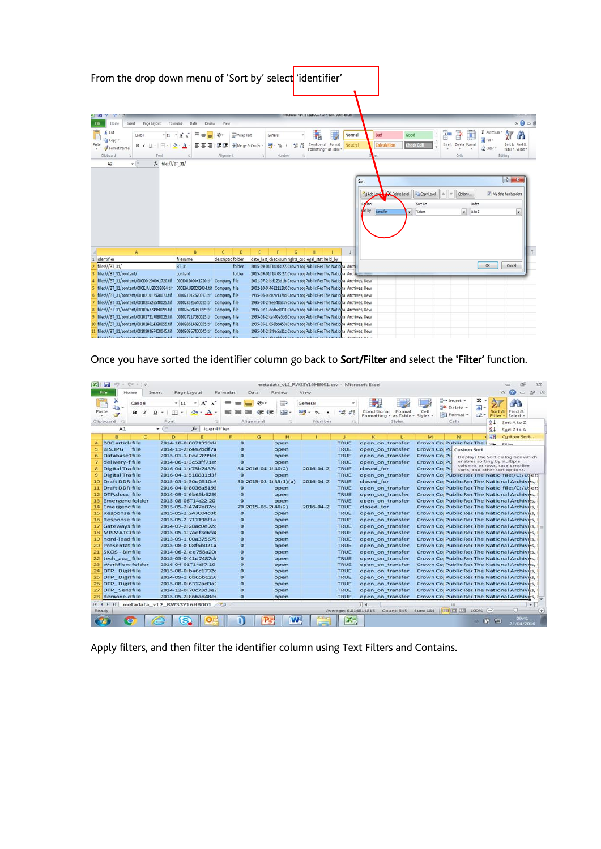|                                  | From the drop down menu of 'Sort by' select 'identifier'                                                                                                                    |                                             |                                               |                                                     |                                                                                                                                           |                                   |                                                                  |                                                                                          |                                                              |
|----------------------------------|-----------------------------------------------------------------------------------------------------------------------------------------------------------------------------|---------------------------------------------|-----------------------------------------------|-----------------------------------------------------|-------------------------------------------------------------------------------------------------------------------------------------------|-----------------------------------|------------------------------------------------------------------|------------------------------------------------------------------------------------------|--------------------------------------------------------------|
|                                  | Page Layout<br>Insert<br>Formulas<br>Home<br>File                                                                                                                           | Data<br>Review                              | View                                          |                                                     |                                                                                                                                           |                                   |                                                                  |                                                                                          | $\circ \mathbf{0} = \mathbf{0}$                              |
|                                  | Cut<br>Calibri<br>$\cdot$ 11 $\cdot$ A A<br>La Copy *<br>Paste<br>B I U<br>Format Painter<br>Clipboard<br>Font<br>$\mathbf{v}$ (iii)<br>fx file:///BT 31/<br>A <sub>2</sub> | ≡                                           | Wrap Text<br>Merge & Center<br>緸<br>Alignment | General<br>$249 - 96$<br>*8.49<br>Number<br>Ğ<br>G. | Conditional<br>Format<br>Formatting * as Table *                                                                                          | Bad<br>Normal<br>Neutral          | Good<br>Calculation<br><b>Check Cel</b>                          | $\Sigma$ AutoSum<br>ð<br>ř<br>y<br>a Fill<br>Insert<br>Delete Format<br>Q Clear<br>Cells | Aw<br>Sort $\alpha$<br>Filter * Select *<br>Editing          |
|                                  |                                                                                                                                                                             |                                             |                                               |                                                     |                                                                                                                                           | Sort<br>Col<br>rtby<br>identifier | Add Level W Delete Level<br>Copy Level<br>Sort On<br>Values<br>۷ | Options<br>Order<br>$\overline{\phantom{0}}$<br>AtoZ                                     | $2 - x$<br>V My data has headers<br>$\overline{\phantom{0}}$ |
|                                  | $\mathsf{A}$                                                                                                                                                                | B.                                          | $\mathsf{C}$<br>D                             | E<br>F<br>G                                         | H                                                                                                                                         | J                                 |                                                                  |                                                                                          | T                                                            |
| $\overline{1}$                   | identifier                                                                                                                                                                  | filename                                    | descriptio folder                             | date last checksum rights coplegal stat held by     |                                                                                                                                           |                                   |                                                                  |                                                                                          |                                                              |
|                                  | file:///BT 31/                                                                                                                                                              | BT 31                                       | folder                                        |                                                     | 2015-09-01T14:03:27. Crown cor Public Rec The National Archi                                                                              |                                   |                                                                  | OK.                                                                                      | Cancel                                                       |
| $\overline{3}$<br>$\overline{4}$ | file:///BT 31/content/<br>file:///BT 31/content/000D0I2000X1720.tif                                                                                                         | content<br>000D0I2000X1720.tif Company file | folder                                        |                                                     | 2015-09-01T14:03:27. Crown cor Public Rec The National Arch                                                                               |                                   |                                                                  |                                                                                          |                                                              |
| 5                                | file:///BT 31/content/000EJAU80092034.tif                                                                                                                                   | 000EJAU80092034.tif Company file            |                                               |                                                     | 2001-07-2 bd123d1b Crown cor Public Rec The National Archives, Kew<br>2002-10-0.4612113b( Crown cor Public Rec The National Archives, Kew |                                   |                                                                  |                                                                                          |                                                              |
| 6                                | file:///BT 31/content/001021012570073.tif                                                                                                                                   | 001021012570073.tif Company file            |                                               |                                                     | 1995-06-0 c02a93786 Crown cor Public Rec The National Archives, Kew                                                                       |                                   |                                                                  |                                                                                          |                                                              |
| $\overline{7}$                   | file:///BT 31/content/001023526540025.tif                                                                                                                                   | 001023526540025.tif Company file            |                                               |                                                     | 1995-03-2' 9ee48a37( Crown cor Public Rec The National Archives, Kew                                                                      |                                   |                                                                  |                                                                                          |                                                              |
| $\overline{\mathbf{8}}$          | file:///BT 31/content/001026774960099.tif                                                                                                                                   | 001026774960099.tif Company file            |                                               |                                                     | 1995-07-1 acd66011C Crown cor Public Rec The National Archives, Kew                                                                       |                                   |                                                                  |                                                                                          |                                                              |
| 9                                | file:///BT 31/content/001027217080025.tif 001027217080025.tif Company file                                                                                                  |                                             |                                               |                                                     | 1995-03-2 caf40e5b3 Crown cor Public Rec The National Archives, Kew                                                                       |                                   |                                                                  |                                                                                          |                                                              |
| 10                               | file:///BT 31/content/001028614320055.tif 001028614320055.tif Company file                                                                                                  |                                             |                                               |                                                     | 1995-05-1: 058bb450; Crown cor Public Rec The National Archives, Kew                                                                      |                                   |                                                                  |                                                                                          |                                                              |
| 11                               | file:///BT 31/content/001030367400045.tif                                                                                                                                   | 001030367400045.tif Company file            |                                               |                                                     | 1995-04-2: 2f9e5a31c Crown cor Public Rec The National Archives, Kew                                                                      |                                   |                                                                  |                                                                                          |                                                              |
|                                  | 13 file:///RT 21/content/101001225340026 tif 101001225340026 tif Company file                                                                                               |                                             |                                               |                                                     | 1005.04.1:4hhabba4.Crown.cor.Dublic Por The National Archiver, Kow                                                                        |                                   |                                                                  |                                                                                          |                                                              |

Once you have sorted the identifier column go back to Sort/Filter and select the 'Filter' function.

|                 | ы<br><b>Eile</b>                        | $-$ (1 $ \neq$<br>Home | Insert                       | Page Layout                |                                                     | Formulas                | Data                  | Review            | <b>View</b>              | metadata_v12_RW33Y16HB001.csv - Microsoft Excel |                             |                                       |                          |                                                                                            |                                | $\bullet$<br>Ø.                                                   | 55<br>$\Rightarrow$ $\#$ $\Sigma$ 3 |
|-----------------|-----------------------------------------|------------------------|------------------------------|----------------------------|-----------------------------------------------------|-------------------------|-----------------------|-------------------|--------------------------|-------------------------------------------------|-----------------------------|---------------------------------------|--------------------------|--------------------------------------------------------------------------------------------|--------------------------------|-------------------------------------------------------------------|-------------------------------------|
|                 | d.<br>Zа<br>Paste<br>U Kia<br>Clipboard | Calibri<br>в           | U<br>I<br>Font               | $+11 - -$<br>EEL<br>$\sim$ | $\mathbf{A}^{\sim}$<br>$\boldsymbol{\Lambda}$<br>19 |                         | $29 -$<br>Alignment   | ₩<br>$-3.7$<br>15 | General<br>ودد<br>Number | 200<br>$-68$<br>19                              | Conditional<br>Formatting - | Format<br>as Table - Styles<br>Styles | Cell                     | $H =$ Insert $=$<br>Delete -<br>Format -<br>Cells                                          | Σ<br>$\bullet$<br>$\mathbb{Z}$ | Sort &<br>Filter * Select *<br>21                                 | Find &<br>Sort A to Z               |
|                 | A1                                      |                        | $\sim$<br>۰                  |                            | identifier<br>fx:                                   |                         |                       |                   |                          |                                                 |                             |                                       |                          |                                                                                            |                                | X <sub>1</sub>                                                    | Sort Z to A                         |
|                 | $\mathbf{B}$                            |                        | c<br>Ð                       |                            |                                                     | c                       | G                     | н                 |                          |                                                 | ĸ                           |                                       | M                        | N                                                                                          |                                | 田                                                                 | Custom Sort                         |
| 4               | <b>BBC</b> articli file                 |                        |                              |                            | 2014-10-0:0071999d4                                 | $\mathbf o$             |                       | open              |                          | TRUE                                            |                             | open on transfer                      |                          | Crown Co <sub>l</sub> Public Rec The Lyse Filter                                           |                                |                                                                   |                                     |
| 5               | BIS.JPG                                 | file                   |                              |                            | 2014-11-2 c447bdf7a                                 | $\circ$                 |                       | open              |                          | <b>TRUE</b>                                     |                             | open on transfer                      |                          | Crown Co <sub>l</sub> Pu Custom Sort                                                       |                                |                                                                   |                                     |
| 6               | Database1file                           |                        |                              |                            | 2015-01-1-0ea7899et                                 | $\circ$                 |                       | open              |                          | TRUE                                            |                             | open on transfer                      | Crown Co <sub>l</sub> Pu |                                                                                            |                                | Displays the Sort dialog box which                                |                                     |
| 7               | delivery-f file                         |                        |                              |                            | 2014-06-1 3c53ff71e!                                | $\circ$                 |                       | open              |                          | <b>TRUE</b>                                     |                             | open on transfer                      | Crown Co <sub>l</sub> Pu |                                                                                            |                                | enables sorting by multiple                                       |                                     |
| 8               | <b>Digital Trafile</b>                  |                        |                              |                            | 2016-04-1: c75b7437c                                |                         | 84 2016-04-1:40(2)    |                   | $2016 - 04 - 2$          | TRUE                                            | closed for                  |                                       | Crown Co <sub>l</sub> Pu |                                                                                            |                                | columns or rows, case-sensitive<br>sorts, and other sort options. |                                     |
| $\overline{9}$  | <b>Digital Trafile</b>                  |                        |                              | 2016-04-1!510831d3f        |                                                     | $\bullet$               |                       | open              |                          | TRUE                                            |                             | open on transfer                      |                          | Crown Coj Public Rec The Natio file:/C:/Ugers                                              |                                |                                                                   |                                     |
| 10 <sub>1</sub> | <b>Draft DDR file</b>                   |                        |                              | 2015-03-1130d0510ef        |                                                     |                         | 30 2015-03-1 35(1)(a) |                   | $2016 - 04 - 2$          | <b>TRUE</b>                                     | closed for                  |                                       |                          | Crown Cor Public Rec The National Archives,                                                |                                |                                                                   |                                     |
| 11              | <b>Draft DDR file</b>                   |                        |                              |                            | 2016-04-0:8036a5195                                 | $\bullet$               |                       | open              |                          | <b>TRUE</b>                                     |                             | open on transfer                      |                          | Crown Co Public Rec The Natio file:/C:/Users                                               |                                |                                                                   |                                     |
| 12 <sub>1</sub> | DTP.docx file                           |                        |                              | 2014-09-1 6b65b629         |                                                     | ${}^{\circ}$            |                       | open              |                          | <b>TRUE</b>                                     |                             | open on transfer                      |                          | Crown Co Public Rec The National Archives,                                                 |                                |                                                                   |                                     |
| 13 <sup>1</sup> | <b>Emergenc folder</b>                  |                        |                              | 2015-08-06T14:22:20        |                                                     | $\Omega$                |                       | open              |                          | TRUE                                            |                             | open on transfer                      |                          | Crown Coj Public Rec The National Archives,                                                |                                |                                                                   |                                     |
|                 | 14 Emergenc file                        |                        |                              | 2015-05-214747e87cc        |                                                     |                         | 70 2015-05-2(40(2)    |                   | 2016-04-2                | <b>TRUE</b>                                     | closed for                  |                                       |                          | Crown Coj Public Rec The National Archives,                                                |                                |                                                                   |                                     |
|                 | 15 Response file                        |                        |                              |                            | 2015-05-2, 247004c0b                                | $\mathbf o$             |                       | open              |                          | <b>TRUE</b>                                     |                             | open on transfer                      |                          | Crown Co: Public RecThe National Archives,                                                 |                                |                                                                   |                                     |
|                 | 16 Response file                        |                        |                              | 2015-05-2 711198f1a        |                                                     | $\Omega$                |                       | open              |                          | TRUE                                            |                             | open on transfer                      |                          | Crown CorPublic RecThe National Archives,                                                  |                                |                                                                   |                                     |
|                 | 17 Gateways file                        |                        |                              |                            | 2014-07-2:28ac0e92c                                 | $\mathbf o$             |                       | open              |                          | TRUE                                            |                             | open on transfer                      |                          | Crown Co Public Rec The National Archives,                                                 |                                |                                                                   |                                     |
|                 | 18 MISMATCI file                        |                        |                              |                            | 2015-05-117aef3c6fal                                | $\circ$                 |                       | open              |                          | TRUE                                            |                             | open on transfer                      |                          | Crown Co <sub>l</sub> Public Rec The National Archives,                                    |                                |                                                                   |                                     |
| 19              | nord-lead file<br>Presentat file        |                        |                              | 2015-08-0 08f6b021a        | 2013-09-1:00a375679                                 | $\mathbf o$<br>$\alpha$ |                       | open              |                          | <b>TRUE</b>                                     |                             | open on transfer                      |                          | Crown Coj Public RecThe National Archives,                                                 |                                |                                                                   |                                     |
| 20<br>21        | <b>SKOS - Bir file</b>                  |                        |                              | 2014-06-2 ee758a20         |                                                     | $\mathbf o$             |                       | open              |                          | TRUE<br><b>TRUE</b>                             |                             | open on transfer                      |                          | Crown Coj Public Rec The National Archives,<br>Crown Co: Public Rec The National Archives, |                                |                                                                   |                                     |
| 22              | tech acq file                           |                        |                              |                            | 2015-05-0'41d7487dc                                 | $\bullet$               |                       | open<br>open      |                          | <b>TRUE</b>                                     |                             | open on transfer<br>open on transfer  |                          | Crown Coj Public Rec The National Archives,                                                |                                |                                                                   |                                     |
| 23              |                                         | Workflow folder        |                              | 2016-04-01T14:57:10        |                                                     | $\bf{o}$                |                       | open              |                          | TRUE                                            |                             | open on transfer                      |                          | Crown Co: Public Rec The National Archives,                                                |                                |                                                                   |                                     |
| 24              | DTP Digitfile                           |                        |                              |                            | 2015-08-0 ba6c1792c                                 | $\bullet$               |                       | open              |                          | <b>TRUE</b>                                     |                             | open on transfer                      |                          | Crown Co <sub>l</sub> Public RecThe National Archives,                                     |                                |                                                                   |                                     |
| 25              | <b>DTP</b> Digitfile                    |                        |                              | 2014-09-1 6b65b629         |                                                     | $\sigma$                |                       | open              |                          | TRUE                                            |                             | open on transfer                      |                          | Crown Co Public Rec The National Archives,                                                 |                                |                                                                   |                                     |
|                 | 26 DTP Digit file                       |                        |                              | 2015-08-0(6312ad3a0        |                                                     | $\bullet$               |                       | open              |                          | TRUE                                            |                             | open on transfer                      |                          | Crown Coj Public Rec The National Archives,                                                |                                |                                                                   |                                     |
|                 | 27 DTP Sensfile                         |                        |                              |                            | 2014-12-0:70c73d3e2                                 | $\bullet$               |                       | open              |                          | TRUE                                            |                             | open on transfer                      |                          | Crown Co <sub>l</sub> Public Rec The National Archives,                                    |                                |                                                                   |                                     |
| 28              | Remove, c file                          |                        |                              | 2015-05-2(866ad48e4        |                                                     | $\Omega$                |                       | open              |                          | TRUE                                            |                             | open on transfer                      |                          | Crown Cor Public Rec The National Archives.                                                |                                |                                                                   |                                     |
|                 | 14 4 3 31                               |                        | metadata v12 RW33Y16HB001 8J |                            |                                                     |                         |                       |                   |                          |                                                 | $ 1 $ 4                     |                                       |                          | <b>HH</b>                                                                                  |                                |                                                                   |                                     |
|                 | Ready.                                  |                        |                              |                            |                                                     |                         |                       |                   |                          | Average: 6.814814815                            |                             | Count: 345                            | Sum: 184                 | 1000000                                                                                    | 100%                           | $(-)$                                                             | c<br>64                             |
|                 |                                         |                        |                              |                            |                                                     |                         |                       |                   |                          | x                                               |                             |                                       |                          |                                                                                            |                                | $\mathbb{C}$<br>94                                                | 09:41<br>22/04/2016                 |

Apply filters, and then filter the identifier column using Text Filters and Contains.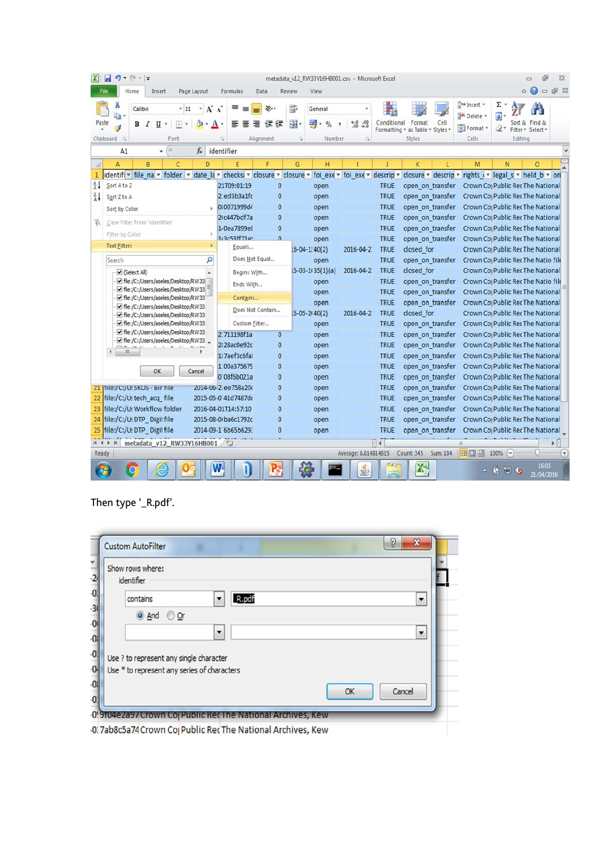| ы<br>$(1 - 7)$<br>תי<br>м<br>۰                                           |                                                                 | metadata_v12_RW33Y16HB001.csv - Microsoft Excel |                                                      |                                                                   | 南<br>Σ3<br>$\Box$                                                                                     |
|--------------------------------------------------------------------------|-----------------------------------------------------------------|-------------------------------------------------|------------------------------------------------------|-------------------------------------------------------------------|-------------------------------------------------------------------------------------------------------|
| File<br>Home<br>Insert<br>Page Layout                                    | Formulas<br>Data                                                | Review<br>View                                  |                                                      |                                                                   | $\bullet$<br><b>图 83</b><br>$\varpi$<br>$\qquad \qquad \Box$                                          |
| å<br>Aî<br>Calibri<br>$-11$<br>la.<br>Paste<br>в<br>U<br>포<br>I          | 》                                                               | B<br>General<br>-34<br>መ<br>$\frac{0}{6}$       | $\frac{.00}{0.00}$<br>Conditional<br>$^{+.0}_{-0.0}$ | Format<br>Cell<br>Formatting * as Table * Styles *                | at Insert +<br>Σ<br>a<br>Delete *<br>Sort & Find &<br>Format *<br>$\mathbb{Z}^*$<br>Filter v Select v |
| Clipboard<br>$\sqrt{2}$<br>Font                                          | Alignment<br><b>G</b>                                           | Number<br>Fu                                    | Γü.                                                  | Styles                                                            | Cells<br>Editing                                                                                      |
| ×<br>A1<br>fx.<br>۰                                                      | identifier                                                      |                                                 |                                                      |                                                                   |                                                                                                       |
| B<br>$\Delta$<br>C<br>D                                                  | F<br>Ë                                                          | G<br>H                                          |                                                      | K                                                                 | N<br>$\circ$<br>M                                                                                     |
| identifi v file na v<br>folder<br>1<br>$\mathbf{v}$                      | date la v checksi v<br>closure *                                | closure *                                       | foi exe v foi exe v<br>descrip                       | closure $\overline{\phantom{a}}$ descrip $\overline{\phantom{a}}$ | rights i v legal s v held b v ori                                                                     |
| $\frac{A}{Z}$<br>Sort A to Z                                             | 21T09:01:19<br>$\bf{0}$                                         | open                                            | <b>TRUE</b>                                          | open on transfer                                                  | Crown Co <sub>l</sub> Public RecThe National                                                          |
| $\frac{7}{4}$<br>Sort Z to A                                             | 2 ed3b3a1fc<br>$\bf{0}$                                         | open                                            | <b>TRUE</b>                                          | open on transfer                                                  | Crown Co Public Rec The National                                                                      |
| Sort by Color                                                            | $\overline{0}$<br>0:0071999d4<br>21 c447bdf7a<br>$\overline{0}$ | open                                            | <b>TRUE</b>                                          | open on transfer                                                  | Crown Cor Public Rec The National                                                                     |
| W.<br>Clear Filter From "identifier"                                     | 1 0ea7899e<br>$\bf{0}$                                          | open                                            | <b>TRUE</b><br><b>TRUE</b>                           | open on transfer                                                  | Crown Co Public Rec The National                                                                      |
| Filter by Color                                                          | 113c53ff71a'<br>$\Omega$                                        | open<br>open                                    | <b>TRUE</b>                                          | open on transfer<br>open on transfer                              | Crown Co <sub>l</sub> Public Rec The National<br>Crown Co <sub>l</sub> Public Rec The National        |
| <b>Text Eilters</b>                                                      | Equals                                                          | $16 - 04 - 1140(2)$                             | 2016-04-2<br><b>TRUE</b>                             | closed for                                                        | Crown Co <sub>l</sub> Public Rec The National                                                         |
| ρ<br>Search                                                              | Does Not Equal                                                  | open                                            | <b>TRUE</b>                                          | open on transfer                                                  | Crown Cor Public Rec The Natio file                                                                   |
|                                                                          |                                                                 | $15-03-1135(1)(a)$                              | <b>TRUE</b><br>2016-04-2                             | closed for                                                        | Crown Co <sub>l</sub> Public Rec The National                                                         |
| $\blacktriangleright$ (Select All)<br>File:/C:/Users/aseles/Desktop/RW33 | Begins With                                                     | open                                            | <b>TRUE</b>                                          | open on transfer                                                  | Crown Co Public Rec The Natio file                                                                    |
| √ file:/C:/Users/aseles/Desktop/RW33                                     | Ends With                                                       | open                                            | TRUE                                                 | open on transfer                                                  | Crown Co <sub>l</sub> Public Rec The National                                                         |
| hle:/C:/Users/aseles/Desktop/RW33                                        | Contains                                                        | open                                            | <b>TRUE</b>                                          | open on transfer                                                  | Crown Co <sub>l</sub> Public RecThe National                                                          |
| file:/C:/Users/aseles/Desktop/RW33<br>file:/C:/Users/aseles/Desktop/RW33 | Does Not Contain                                                | $15 - 05 - 2140(2)$                             | 2016-04-2<br><b>TRUE</b>                             | closed for                                                        | Crown Co <sub>l</sub> Public Rec The National                                                         |
| file:/C:/Users/aseles/Desktop/RW33                                       | Custom Filter                                                   | open                                            | <b>TRUE</b>                                          | open on transfer                                                  | Crown Co <sub>l</sub> Public Rec The National                                                         |
| File:/C:/Users/aseles/Desktop/RW33                                       | 2.711198f1a<br>$\overline{0}$                                   | open                                            | <b>TRUE</b>                                          | open on transfer                                                  | Crown Co Public Rec The National                                                                      |
| File:/C:/Users/aseles/Desktop/RW33                                       | 2:28ac0e92c<br>$\mathbf{0}$                                     | open                                            | <b>TRUE</b>                                          | open on transfer                                                  | Crown Co Public Rec The National                                                                      |
| m                                                                        | 1:7aef3c6fal<br>$\overline{0}$                                  | open                                            | <b>TRUE</b>                                          | open on transfer                                                  | Crown Co Public RecThe National                                                                       |
|                                                                          | 1:00a375679<br>$\overline{0}$                                   | open                                            | <b>TRUE</b>                                          | open on transfer                                                  | Crown Co Public Rec The National                                                                      |
| OK<br>Cancel                                                             | 0 08f6b021a<br>$\bf{0}$                                         | open                                            | <b>TRUE</b>                                          | open on transfer                                                  | Crown Coj Public Rec The National                                                                     |
| 21  Tile:/C:/U:SKOS - Bir Tile                                           | 2014-06-2 ee758a20<br>0                                         | open                                            | <b>TRUE</b>                                          | open on transfer                                                  | Crown Co <sub>l</sub> Public Rec The National                                                         |
| file:/C:/U:tech acq file<br>22                                           | 2015-05-0 41d7487do<br>0                                        | open                                            | <b>TRUE</b>                                          | open on transfer                                                  | Crown Co Public Rec The National                                                                      |
| file:/C:/U: Workflow folder<br>23                                        | $\overline{0}$<br>2016-04-01T14:57:10                           | open                                            | <b>TRUE</b>                                          | open on transfer                                                  | Crown Co Public Rec The National                                                                      |
| file:/C:/U:DTP_Digit file<br>24                                          | 2015-08-0 ba6c1792c<br>0                                        | open                                            | <b>TRUE</b>                                          | open on transfer                                                  | Crown Co <sub>l</sub> Public Rec The National                                                         |
| file:/C:/U:DTP Digitfile<br>25                                           | 2014-09-1 6b65b629:<br>0                                        | open                                            | <b>TRUE</b>                                          | open on transfer                                                  | Crown Co Public Rec The National                                                                      |
| metadata v12 RW33Y16HB001<br>$H$ $\rightarrow$ $F$<br>H                  |                                                                 |                                                 | $\blacksquare$                                       |                                                                   | 1 <br>m                                                                                               |
| Ready                                                                    |                                                                 |                                                 | Average: 6.814814815                                 | Count: 345<br>Sum: 184                                            | 田口凹 100% (一)<br>Ŧ                                                                                     |
|                                                                          |                                                                 | ca                                              |                                                      | Χ                                                                 | 16:05<br>- 67<br>19 6<br>21/04/2016                                                                   |

Then type '\_R.pdf'.

| Show rows where:<br>identifier                                                         |                          |
|----------------------------------------------------------------------------------------|--------------------------|
| R.pdf<br>contains                                                                      | $\overline{\phantom{0}}$ |
| And Opr                                                                                |                          |
| $\overline{\phantom{a}}$                                                               | $\overline{\phantom{a}}$ |
| Use ? to represent any single character<br>Use * to represent any series of characters |                          |
|                                                                                        | Cancel<br>OK             |